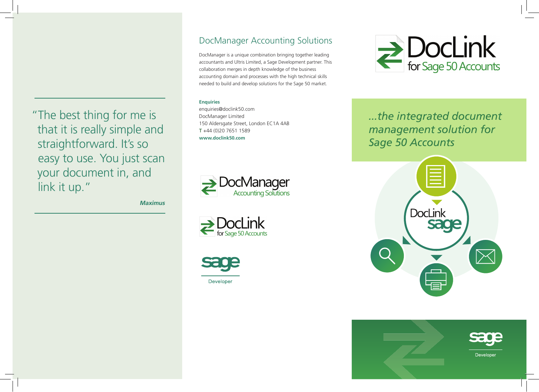" The best thing for me is that it is really simple and straightforward. It's so easy to use. You just scan your document in, and link it up."

**Maximus**

# DocManager Accounting Solutions

DocManager is a unique combination bringing together leading accountants and Ultris Limited, a Sage Development partner. This collaboration merges in depth knowledge of the business accounting domain and processes with the high technical skills needed to build and develop solutions for the Sage 50 market.

# **Enquiries**

enquiries@doclink50.com DocManager Limited 150 Aldersgate Street, London EC1A 4AB T +44 (0)20 7651 1589 **www.doclink50.com**







 $\sum$  DocLink

*...the integrated document management solution for Sage 50 Accounts*